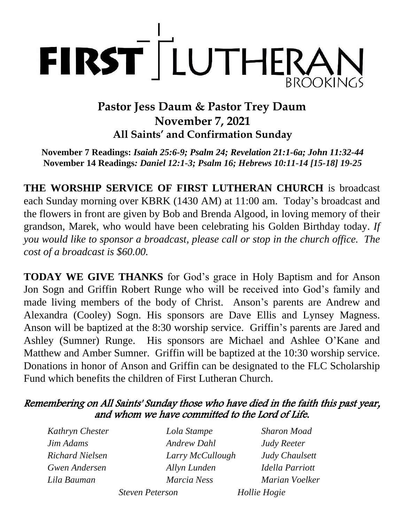

## **Pastor Jess Daum & Pastor Trey Daum November 7, 2021 All Saints' and Confirmation Sunday**

**November 7 Readings:** *Isaiah 25:6-9; Psalm 24; Revelation 21:1-6a; John 11:32-44* **November 14 Readings***: Daniel 12:1-3; Psalm 16; Hebrews 10:11-14 [15-18] 19-25*

**THE WORSHIP SERVICE OF FIRST LUTHERAN CHURCH** is broadcast each Sunday morning over KBRK (1430 AM) at 11:00 am. Today's broadcast and the flowers in front are given by Bob and Brenda Algood, in loving memory of their grandson, Marek, who would have been celebrating his Golden Birthday today. *If you would like to sponsor a broadcast, please call or stop in the church office. The cost of a broadcast is \$60.00.*

**TODAY WE GIVE THANKS** for God's grace in Holy Baptism and for Anson Jon Sogn and Griffin Robert Runge who will be received into God's family and made living members of the body of Christ. Anson's parents are Andrew and Alexandra (Cooley) Sogn. His sponsors are Dave Ellis and Lynsey Magness. Anson will be baptized at the 8:30 worship service. Griffin's parents are Jared and Ashley (Sumner) Runge. His sponsors are Michael and Ashlee O'Kane and Matthew and Amber Sumner. Griffin will be baptized at the 10:30 worship service. Donations in honor of Anson and Griffin can be designated to the FLC Scholarship Fund which benefits the children of First Lutheran Church.

### Remembering on All Saints' Sunday those who have died in the faith this past year, and whom we have committed to the Lord of Life.

| Kathryn Chester        | Lola Stampe            | <b>Sharon Moad</b>     |
|------------------------|------------------------|------------------------|
| Jim Adams              | <b>Andrew Dahl</b>     | <b>Judy Reeter</b>     |
| <b>Richard Nielsen</b> | Larry McCullough       | Judy Chaulsett         |
| <b>Gwen Andersen</b>   | Allyn Lunden           | <b>Idella Parriott</b> |
| Lila Bauman            | Marcia Ness            | Marian Voelker         |
|                        | <b>Steven Peterson</b> | Hollie Hogie           |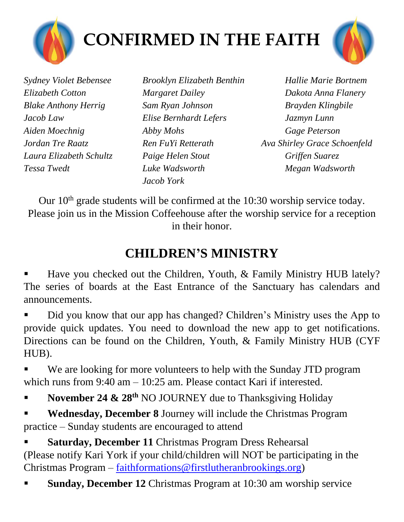



*Blake Anthony Herrig Sam Ryan Johnson Brayden Klingbile Jacob Law Elise Bernhardt Lefers Jazmyn Lunn Aiden Moechnig Abby Mohs Gage Peterson Laura Elizabeth Schultz Paige Helen Stout Griffen Suarez Tessa Twedt Luke Wadsworth Megan Wadsworth*

*Jacob York*

*Sydney Violet Bebensee Brooklyn Elizabeth Benthin Hallie Marie Bortnem Elizabeth Cotton Margaret Dailey Dakota Anna Flanery Jordan Tre Raatz Ren FuYi Retterath Ava Shirley Grace Schoenfeld*

Our  $10<sup>th</sup>$  grade students will be confirmed at the 10:30 worship service today. Please join us in the Mission Coffeehouse after the worship service for a reception in their honor.

# **CHILDREN'S MINISTRY**

Have you checked out the Children, Youth, & Family Ministry HUB lately? The series of boards at the East Entrance of the Sanctuary has calendars and announcements.

Did you know that our app has changed? Children's Ministry uses the App to provide quick updates. You need to download the new app to get notifications. Directions can be found on the Children, Youth, & Family Ministry HUB (CYF HUB).

We are looking for more volunteers to help with the Sunday JTD program which runs from 9:40 am – 10:25 am. Please contact Kari if interested.

November 24 & 28<sup>th</sup> NO JOURNEY due to Thanksgiving Holiday

**Wednesday, December 8** Journey will include the Christmas Program practice – Sunday students are encouraged to attend

**Saturday, December 11 Christmas Program Dress Rehearsal** (Please notify Kari York if your child/children will NOT be participating in the Christmas Program – [faithformations@firstlutheranbrookings.org\)](mailto:faithformations@firstlutheranbrookings.org)

**Sunday, December 12** Christmas Program at 10:30 am worship service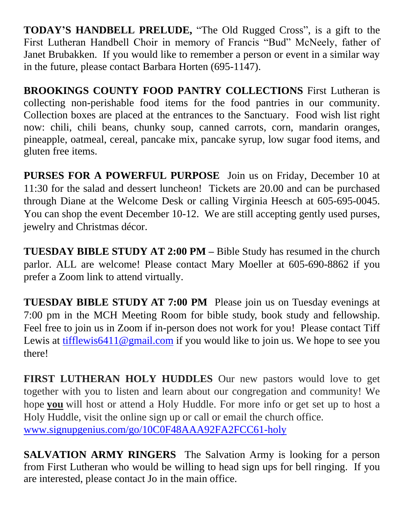**TODAY'S HANDBELL PRELUDE,** "The Old Rugged Cross", is a gift to the First Lutheran Handbell Choir in memory of Francis "Bud" McNeely, father of Janet Brubakken. If you would like to remember a person or event in a similar way in the future, please contact Barbara Horten (695-1147).

**BROOKINGS COUNTY FOOD PANTRY COLLECTIONS** First Lutheran is collecting non-perishable food items for the food pantries in our community. Collection boxes are placed at the entrances to the Sanctuary. Food wish list right now: chili, chili beans, chunky soup, canned carrots, corn, mandarin oranges, pineapple, oatmeal, cereal, pancake mix, pancake syrup, low sugar food items, and gluten free items.

**PURSES FOR A POWERFUL PURPOSE** Join us on Friday, December 10 at 11:30 for the salad and dessert luncheon! Tickets are 20.00 and can be purchased through Diane at the Welcome Desk or calling Virginia Heesch at 605-695-0045. You can shop the event December 10-12. We are still accepting gently used purses, jewelry and Christmas décor.

**TUESDAY BIBLE STUDY AT 2:00 PM –** Bible Study has resumed in the church parlor. ALL are welcome! Please contact Mary Moeller at 605-690-8862 if you prefer a Zoom link to attend virtually.

**TUESDAY BIBLE STUDY AT 7:00 PM** Please join us on Tuesday evenings at 7:00 pm in the MCH Meeting Room for bible study, book study and fellowship. Feel free to join us in Zoom if in-person does not work for you! Please contact Tiff Lewis at [tifflewis6411@gmail.com](mailto:tifflewis6411@gmail.com) if you would like to join us. We hope to see you there!

**FIRST LUTHERAN HOLY HUDDLES** Our new pastors would love to get together with you to listen and learn about our congregation and community! We hope **you** will host or attend a Holy Huddle. For more info or get set up to host a Holy Huddle, visit the online sign up or call or email the church office. [www.signupgenius.com/go/10C0F48AAA92FA2FCC61-holy](http://www.signupgenius.com/go/10C0F48AAA92FA2FCC61-holyl)

**SALVATION ARMY RINGERS** The Salvation Army is looking for a person from First Lutheran who would be willing to head sign ups for bell ringing. If you are interested, please contact Jo in the main office.